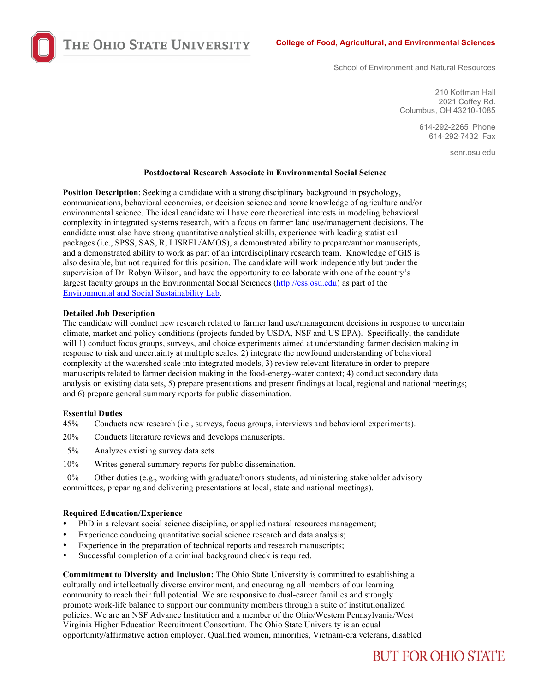THE OHIO STATE UNIVERSITY

School of Environment and Natural Resources

210 Kottman Hall 2021 Coffey Rd. Columbus, OH 43210-1085

> 614-292-2265 Phone 614-292-7432 Fax

> > senr.osu.edu

#### **Postdoctoral Research Associate in Environmental Social Science**

**Position Description**: Seeking a candidate with a strong disciplinary background in psychology, communications, behavioral economics, or decision science and some knowledge of agriculture and/or environmental science. The ideal candidate will have core theoretical interests in modeling behavioral complexity in integrated systems research, with a focus on farmer land use/management decisions. The candidate must also have strong quantitative analytical skills, experience with leading statistical packages (i.e., SPSS, SAS, R, LISREL/AMOS), a demonstrated ability to prepare/author manuscripts, and a demonstrated ability to work as part of an interdisciplinary research team. Knowledge of GIS is also desirable, but not required for this position. The candidate will work independently but under the supervision of Dr. Robyn Wilson, and have the opportunity to collaborate with one of the country's largest faculty groups in the Environmental Social Sciences (http://ess.osu.edu) as part of the Environmental and Social Sustainability Lab.

### **Detailed Job Description**

The candidate will conduct new research related to farmer land use/management decisions in response to uncertain climate, market and policy conditions (projects funded by USDA, NSF and US EPA). Specifically, the candidate will 1) conduct focus groups, surveys, and choice experiments aimed at understanding farmer decision making in response to risk and uncertainty at multiple scales, 2) integrate the newfound understanding of behavioral complexity at the watershed scale into integrated models, 3) review relevant literature in order to prepare manuscripts related to farmer decision making in the food-energy-water context; 4) conduct secondary data analysis on existing data sets, 5) prepare presentations and present findings at local, regional and national meetings; and 6) prepare general summary reports for public dissemination.

## **Essential Duties**

- 45% Conducts new research (i.e., surveys, focus groups, interviews and behavioral experiments).
- 20% Conducts literature reviews and develops manuscripts.
- 15% Analyzes existing survey data sets.
- 10% Writes general summary reports for public dissemination.

10% Other duties (e.g., working with graduate/honors students, administering stakeholder advisory committees, preparing and delivering presentations at local, state and national meetings).

#### **Required Education/Experience**

- PhD in a relevant social science discipline, or applied natural resources management;
- Experience conducing quantitative social science research and data analysis;
- Experience in the preparation of technical reports and research manuscripts;
- Successful completion of a criminal background check is required.

**Commitment to Diversity and Inclusion:** The Ohio State University is committed to establishing a culturally and intellectually diverse environment, and encouraging all members of our learning community to reach their full potential. We are responsive to dual-career families and strongly promote work-life balance to support our community members through a suite of institutionalized policies. We are an NSF Advance Institution and a member of the Ohio/Western Pennsylvania/West Virginia Higher Education Recruitment Consortium. The Ohio State University is an equal opportunity/affirmative action employer. Qualified women, minorities, Vietnam-era veterans, disabled

# **BUT FOR OHIO STATE**